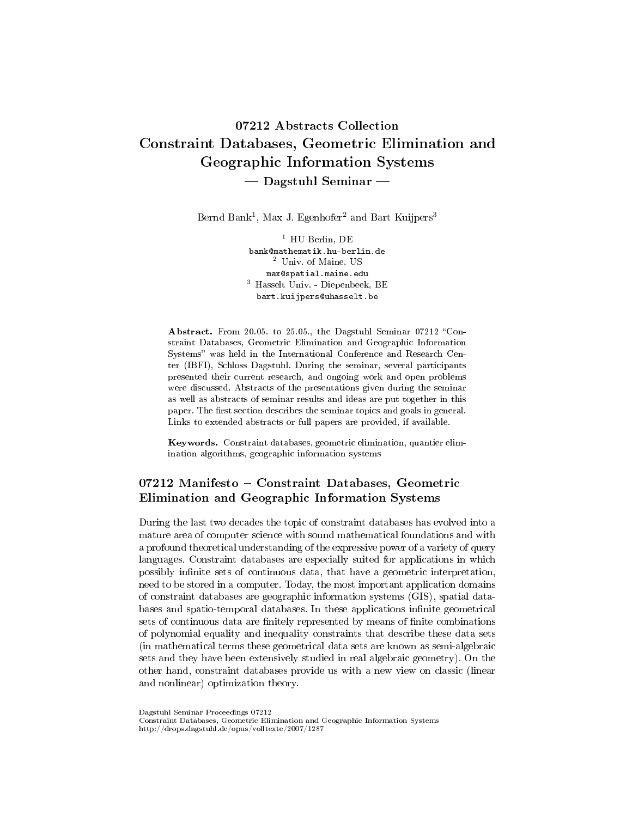# 07212 Abstracts Collection Constraint Databases, Geometric Elimination and Geographic Information Systems  $-$  Dagstuhl Seminar  $-$

Bernd Bank<sup>1</sup>, Max J. Egenhofer<sup>2</sup> and Bart Kuijpers<sup>3</sup>

 $1$  HU Berlin, DE bank@mathematik.hu-berlin.de <sup>2</sup> Univ. of Maine, US max@spatial.maine.edu <sup>3</sup> Hasselt Univ. - Diepenbeek, BE bart.kuijpers@uhasselt.be

Abstract. From 20.05. to 25.05., the Dagstuhl Seminar 07212 "Constraint Databases, Geometric Elimination and Geographic Information Systems" was held in the International Conference and Research Center (IBFI), Schloss Dagstuhl. During the seminar, several participants presented their current research, and ongoing work and open problems were discussed. Abstracts of the presentations given during the seminar as well as abstracts of seminar results and ideas are put together in this paper. The first section describes the seminar topics and goals in general. Links to extended abstracts or full papers are provided, if available.

Keywords. Constraint databases, geometric elimination, quantier elimination algorithms, geographic information systems

# 07212 Manifesto - Constraint Databases, Geometric Elimination and Geographic Information Systems

During the last two decades the topic of constraint databases has evolved into a mature area of computer science with sound mathematical foundations and with a profound theoretical understanding of the expressive power of a variety of query languages. Constraint databases are especially suited for applications in which possibly infinite sets of continuous data, that have a geometric interpretation, need to be stored in a computer. Today, the most important application domains of constraint databases are geographic information systems (GIS), spatial databases and spatio-temporal databases. In these applications infinite geometrical sets of continuous data are finitely represented by means of finite combinations of polynomial equality and inequality constraints that describe these data sets (in mathematical terms these geometrical data sets are known as semi-algebraic sets and they have been extensively studied in real algebraic geometry). On the other hand, constraint databases provide us with a new view on classic (linear and nonlinear) optimization theory.

Dagstuhl Seminar Proceedings 07212

Constraint Databases, Geometric Elimination and Geographic Information Systems http://drops.dagstuhl.de/opus/volltexte/2007/1287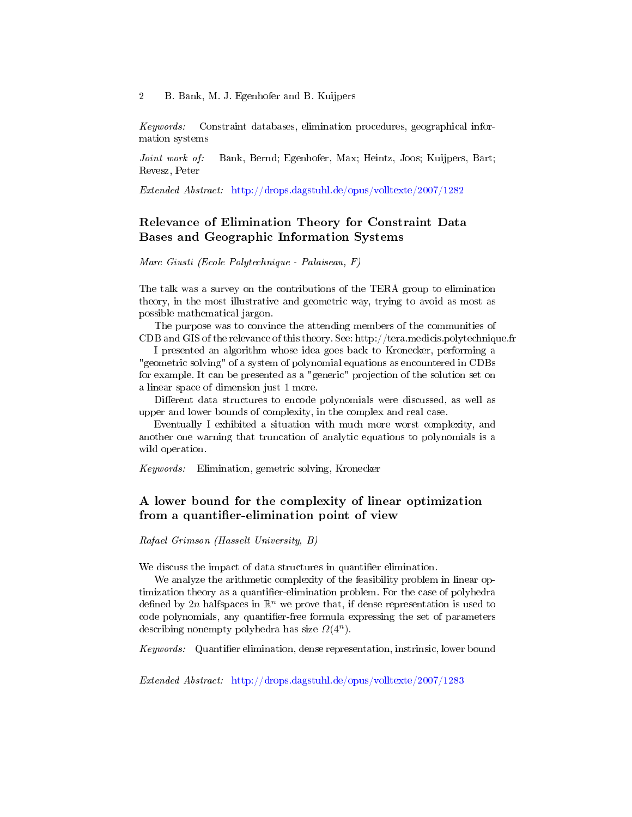2 B. Bank, M. J. Egenhofer and B. Kuijpers

Keywords: Constraint databases, elimination procedures, geographical information systems

Joint work of: Bank, Bernd; Egenhofer, Max; Heintz, Joos; Kuijpers, Bart; Revesz, Peter

Extended Abstract: <http://drops.dagstuhl.de/opus/volltexte/2007/1282>

# Relevance of Elimination Theory for Constraint Data Bases and Geographic Information Systems

Marc Giusti (Ecole Polytechnique - Palaiseau, F)

The talk was a survey on the contributions of the TERA group to elimination theory, in the most illustrative and geometric way, trying to avoid as most as possible mathematical jargon.

The purpose was to convince the attending members of the communities of CDB and GIS of the relevance of this theory. See: http://tera.medicis.polytechnique.fr

I presented an algorithm whose idea goes back to Kronecker, performing a "geometric solving" of a system of polynomial equations as encountered in CDBs for example. It can be presented as a "generic" projection of the solution set on a linear space of dimension just 1 more.

Different data structures to encode polynomials were discussed, as well as upper and lower bounds of complexity, in the complex and real case.

Eventually I exhibited a situation with much more worst complexity, and another one warning that truncation of analytic equations to polynomials is a wild operation.

Keywords: Elimination, gemetric solving, Kronecker

### A lower bound for the complexity of linear optimization from a quantifier-elimination point of view

Rafael Grimson (Hasselt University, B)

We discuss the impact of data structures in quantifier elimination.

We analyze the arithmetic complexity of the feasibility problem in linear optimization theory as a quantifier-elimination problem. For the case of polyhedra defined by  $2n$  halfspaces in  $\mathbb{R}^n$  we prove that, if dense representation is used to code polynomials, any quantifier-free formula expressing the set of parameters describing nonempty polyhedra has size  $\Omega(4^n)$ .

Keywords: Quantifier elimination, dense representation, instrinsic, lower bound

Extended Abstract: <http://drops.dagstuhl.de/opus/volltexte/2007/1283>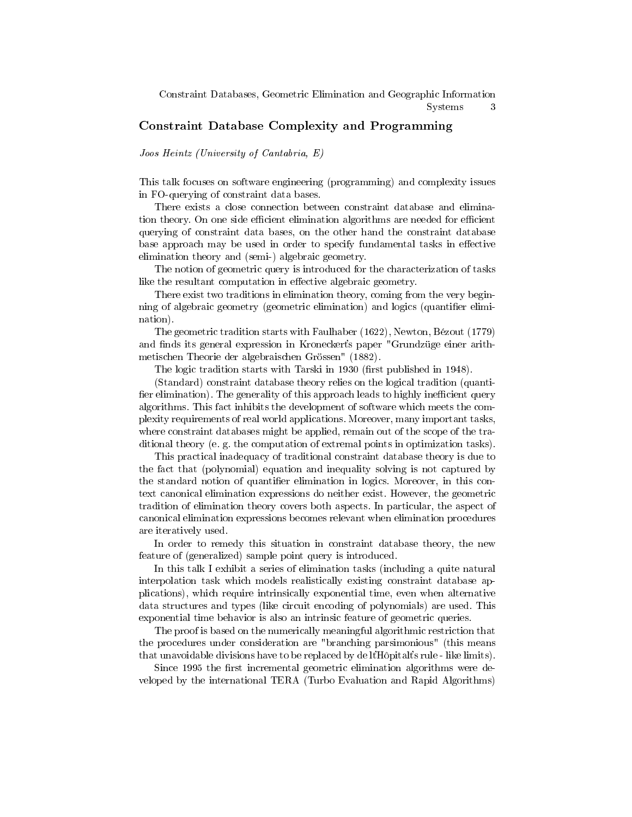# Constraint Database Complexity and Programming

Joos Heintz (University of Cantabria, E)

This talk focuses on software engineering (programming) and complexity issues in FO-querying of constraint data bases.

There exists a close connection between constraint database and elimination theory. On one side efficient elimination algorithms are needed for efficient querying of constraint data bases, on the other hand the constraint database base approach may be used in order to specify fundamental tasks in effective elimination theory and (semi-) algebraic geometry.

The notion of geometric query is introduced for the characterization of tasks like the resultant computation in effective algebraic geometry.

There exist two traditions in elimination theory, coming from the very beginning of algebraic geometry (geometric elimination) and logics (quantifier elimination).

The geometric tradition starts with Faulhaber (1622), Newton, Bézout (1779) and finds its general expression in Kroneckert's paper "Grundzüge einer arithmetischen Theorie der algebraischen Grössen" (1882).

The logic tradition starts with Tarski in 1930 (first published in 1948).

(Standard) constraint database theory relies on the logical tradition (quanti fier elimination). The generality of this approach leads to highly inefficient query algorithms. This fact inhibits the development of software which meets the complexity requirements of real world applications. Moreover, many important tasks, where constraint databases might be applied, remain out of the scope of the traditional theory (e. g. the computation of extremal points in optimization tasks).

This practical inadequacy of traditional constraint database theory is due to the fact that (polynomial) equation and inequality solving is not captured by the standard notion of quantifier elimination in logics. Moreover, in this context canonical elimination expressions do neither exist. However, the geometric tradition of elimination theory covers both aspects. In particular, the aspect of canonical elimination expressions becomes relevant when elimination procedures are iteratively used.

In order to remedy this situation in constraint database theory, the new feature of (generalized) sample point query is introduced.

In this talk I exhibit a series of elimination tasks (including a quite natural interpolation task which models realistically existing constraint database applications), which require intrinsically exponential time, even when alternative data structures and types (like circuit encoding of polynomials) are used. This exponential time behavior is also an intrinsic feature of geometric queries.

The proof is based on the numerically meaningful algorithmic restriction that the procedures under consideration are "branching parsimonious" (this means that unavoidable divisions have to be replaced by de  $\mathbb{R}$  and  $\mathbb{R}$  rule - like limits).

Since 1995 the first incremental geometric elimination algorithms were developed by the international TERA (Turbo Evaluation and Rapid Algorithms)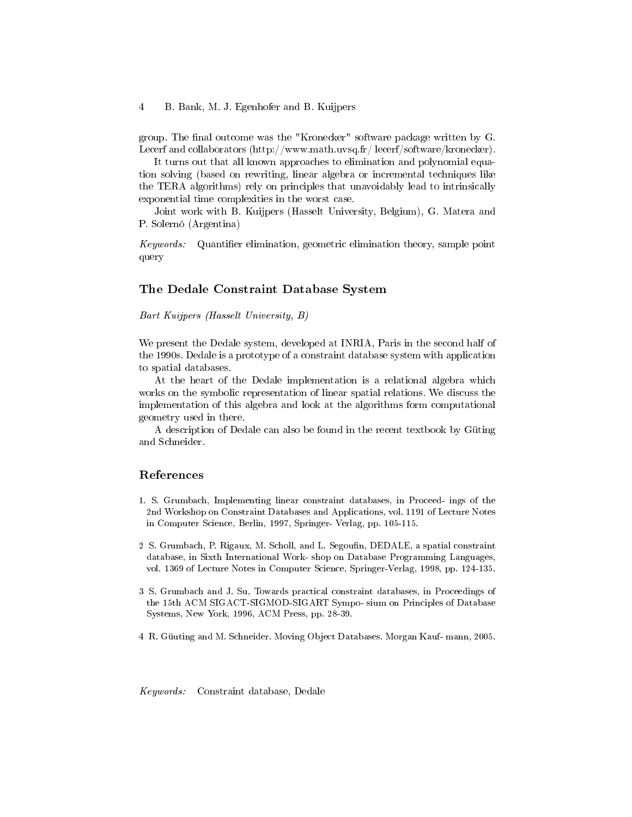#### 4 B. Bank, M. J. Egenhofer and B. Kuijpers

group. The final outcome was the "Kronecker" software package written by  $G$ . Lecerf and collaborators (http://www.math.uvsq.fr/ lecerf/software/kronecker).

It turns out that all known approaches to elimination and polynomial equation solving (based on rewriting, linear algebra or incremental techniques like the TERA algorithms) rely on principles that unavoidably lead to intrinsically exponential time complexities in the worst case.

Joint work with B. Kuijpers (Hasselt University, Belgium), G. Matera and P. Solernó (Argentina)

 $Keywords:$  Quantifier elimination, geometric elimination theory, sample point query

### The Dedale Constraint Database System

Bart Kuijpers (Hasselt University, B)

We present the Dedale system, developed at INRIA, Paris in the second half of the 1990s. Dedale is a prototype of a constraint database system with application to spatial databases.

At the heart of the Dedale implementation is a relational algebra which works on the symbolic representation of linear spatial relations. We discuss the implementation of this algebra and look at the algorithms form computational geometry used in there.

A description of Dedale can also be found in the recent textbook by Güting and Schneider.

### References

- 1. S. Grumbach, Implementing linear constraint databases, in Proceed- ings of the 2nd Workshop on Constraint Databases and Applications, vol. 1191 of Lecture Notes in Computer Science, Berlin, 1997, Springer- Verlag, pp. 105-115.
- 2 S. Grumbach, P. Rigaux, M. Scholl, and L. Segoufin, DEDALE, a spatial constraint database, in Sixth International Work- shop on Database Programming Languages, vol. 1369 of Lecture Notes in Computer Science, Springer-Verlag, 1998, pp. 124-135.
- 3 S. Grumbach and J. Su, Towards practical constraint databases, in Proceedings of the 15th ACM SIGACT-SIGMOD-SIGART Sympo- sium on Principles of Database Systems, New York, 1996, ACM Press, pp. 28-39.
- 4 R. Güuting and M. Schneider. Moving Object Databases. Morgan Kauf- mann, 2005.

Keywords: Constraint database, Dedale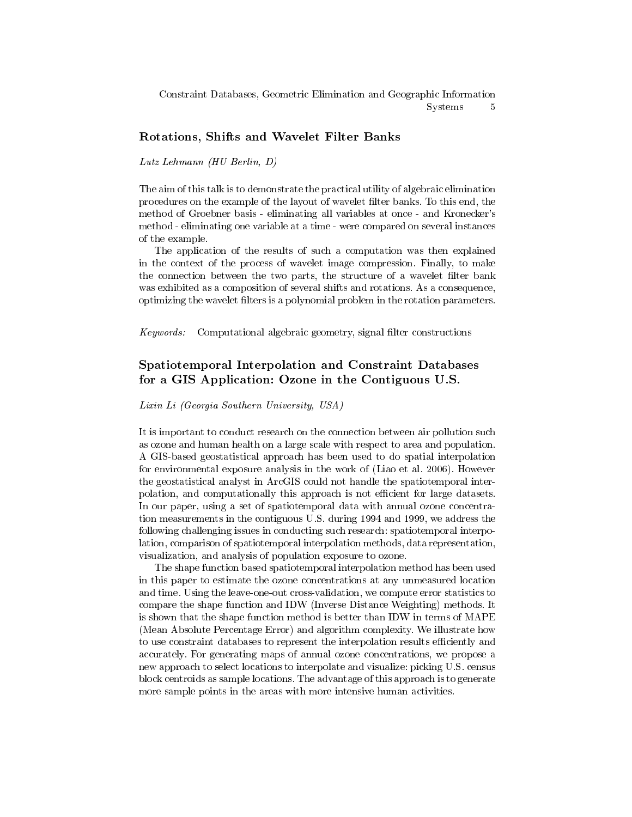Constraint Databases, Geometric Elimination and Geographic Information Systems 5

### Rotations, Shifts and Wavelet Filter Banks

Lutz Lehmann (HU Berlin, D)

The aim of this talk is to demonstrate the practical utility of algebraic elimination procedures on the example of the layout of wavelet filter banks. To this end, the method of Groebner basis - eliminating all variables at once - and Kronecker's method - eliminating one variable at a time - were compared on several instances of the example.

The application of the results of such a computation was then explained in the context of the process of wavelet image compression. Finally, to make the connection between the two parts, the structure of a wavelet filter bank was exhibited as a composition of several shifts and rotations. As a consequence, optimizing the wavelet filters is a polynomial problem in the rotation parameters.

 $Keywords:$  Computational algebraic geometry, signal filter constructions

# Spatiotemporal Interpolation and Constraint Databases for a GIS Application: Ozone in the Contiguous U.S.

#### Lixin Li (Georgia Southern University, USA)

It is important to conduct research on the connection between air pollution such as ozone and human health on a large scale with respect to area and population. A GIS-based geostatistical approach has been used to do spatial interpolation for environmental exposure analysis in the work of (Liao et al. 2006). However the geostatistical analyst in ArcGIS could not handle the spatiotemporal interpolation, and computationally this approach is not efficient for large datasets. In our paper, using a set of spatiotemporal data with annual ozone concentration measurements in the contiguous U.S. during 1994 and 1999, we address the following challenging issues in conducting such research: spatiotemporal interpolation, comparison of spatiotemporal interpolation methods, data representation, visualization, and analysis of population exposure to ozone.

The shape function based spatiotemporal interpolation method has been used in this paper to estimate the ozone concentrations at any unmeasured location and time. Using the leave-one-out cross-validation, we compute error statistics to compare the shape function and IDW (Inverse Distance Weighting) methods. It is shown that the shape function method is better than IDW in terms of MAPE (Mean Absolute Percentage Error) and algorithm complexity. We illustrate how to use constraint databases to represent the interpolation results efficiently and accurately. For generating maps of annual ozone concentrations, we propose a new approach to select locations to interpolate and visualize: picking U.S. census block centroids as sample locations. The advantage of this approach is to generate more sample points in the areas with more intensive human activities.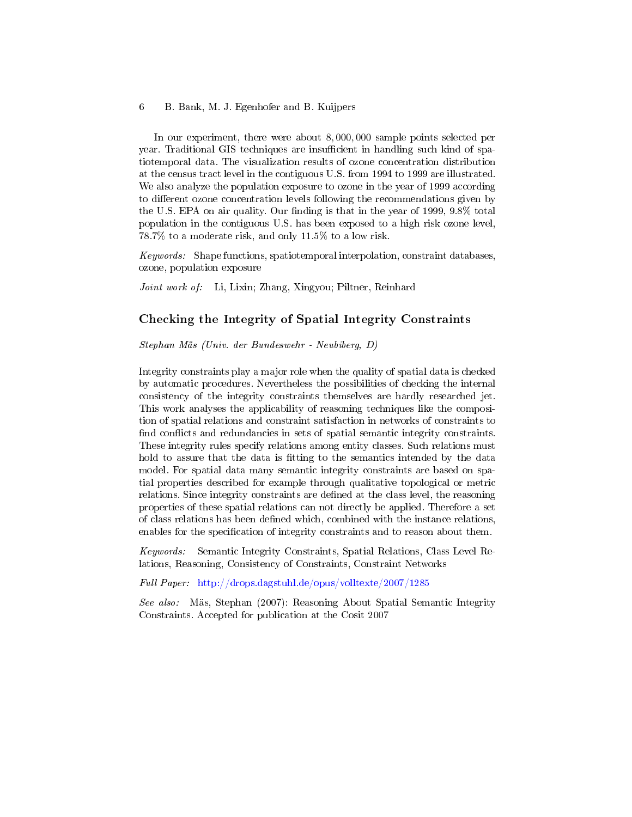#### 6 B. Bank, M. J. Egenhofer and B. Kuijpers

In our experiment, there were about 8, 000, 000 sample points selected per year. Traditional GIS techniques are insufficient in handling such kind of spatiotemporal data. The visualization results of ozone concentration distribution at the census tract level in the contiguous U.S. from 1994 to 1999 are illustrated. We also analyze the population exposure to ozone in the year of 1999 according to different ozone concentration levels following the recommendations given by the U.S. EPA on air quality. Our finding is that in the year of 1999,  $9.8\%$  total population in the contiguous U.S. has been exposed to a high risk ozone level, 78.7% to a moderate risk, and only 11.5% to a low risk.

Keywords: Shape functions, spatiotemporal interpolation, constraint databases, ozone, population exposure

Joint work of: Li, Lixin; Zhang, Xingyou; Piltner, Reinhard

### Checking the Integrity of Spatial Integrity Constraints

Stephan Mäs (Univ. der Bundeswehr - Neubiberg, D)

Integrity constraints play a major role when the quality of spatial data is checked by automatic procedures. Nevertheless the possibilities of checking the internal consistency of the integrity constraints themselves are hardly researched jet. This work analyses the applicability of reasoning techniques like the composition of spatial relations and constraint satisfaction in networks of constraints to find conflicts and redundancies in sets of spatial semantic integrity constraints. These integrity rules specify relations among entity classes. Such relations must hold to assure that the data is fitting to the semantics intended by the data model. For spatial data many semantic integrity constraints are based on spatial properties described for example through qualitative topological or metric relations. Since integrity constraints are defined at the class level, the reasoning properties of these spatial relations can not directly be applied. Therefore a set of class relations has been dened which, combined with the instance relations, enables for the specification of integrity constraints and to reason about them.

Keywords: Semantic Integrity Constraints, Spatial Relations, Class Level Relations, Reasoning, Consistency of Constraints, Constraint Networks

Full Paper: <http://drops.dagstuhl.de/opus/volltexte/2007/1285>

See also: Mäs, Stephan (2007): Reasoning About Spatial Semantic Integrity Constraints. Accepted for publication at the Cosit 2007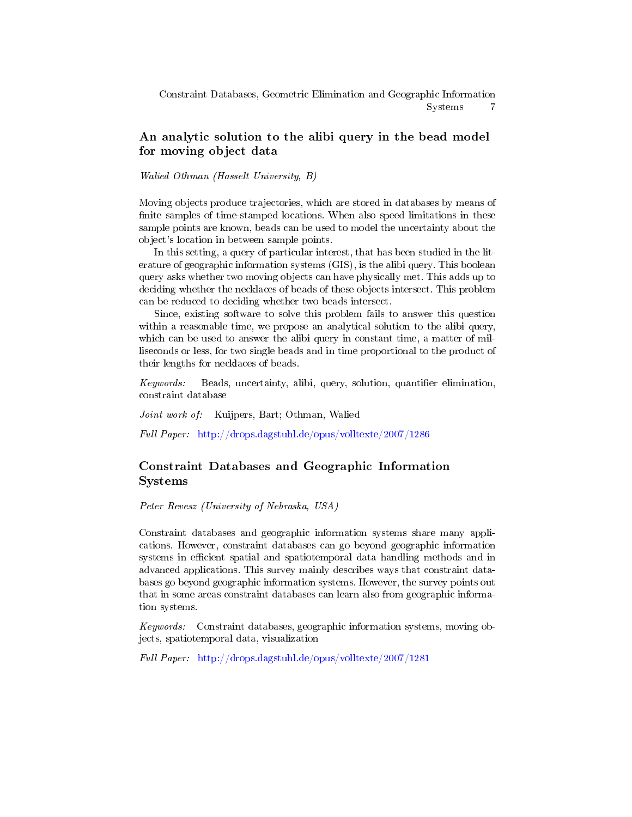Constraint Databases, Geometric Elimination and Geographic Information Systems 7

# An analytic solution to the alibi query in the bead model for moving object data

Walied Othman (Hasselt University, B)

Moving objects produce trajectories, which are stored in databases by means of finite samples of time-stamped locations. When also speed limitations in these sample points are known, beads can be used to model the uncertainty about the object's location in between sample points.

In this setting, a query of particular interest, that has been studied in the literature of geographic information systems (GIS), is the alibi query. This boolean query asks whether two moving objects can have physically met. This adds up to deciding whether the necklaces of beads of these objects intersect. This problem can be reduced to deciding whether two beads intersect.

Since, existing software to solve this problem fails to answer this question within a reasonable time, we propose an analytical solution to the alibi query, which can be used to answer the alibi query in constant time, a matter of milliseconds or less, for two single beads and in time proportional to the product of their lengths for necklaces of beads.

 $Keywords:$  Beads, uncertainty, alibi, query, solution, quantifier elimination, constraint database

Joint work of: Kuijpers, Bart; Othman, Walied

Full Paper: <http://drops.dagstuhl.de/opus/volltexte/2007/1286>

# Constraint Databases and Geographic Information Systems

Peter Revesz (University of Nebraska, USA)

Constraint databases and geographic information systems share many applications. However, constraint databases can go beyond geographic information systems in efficient spatial and spatiotemporal data handling methods and in advanced applications. This survey mainly describes ways that constraint databases go beyond geographic information systems. However, the survey points out that in some areas constraint databases can learn also from geographic information systems.

Keywords: Constraint databases, geographic information systems, moving objects, spatiotemporal data, visualization

Full Paper: <http://drops.dagstuhl.de/opus/volltexte/2007/1281>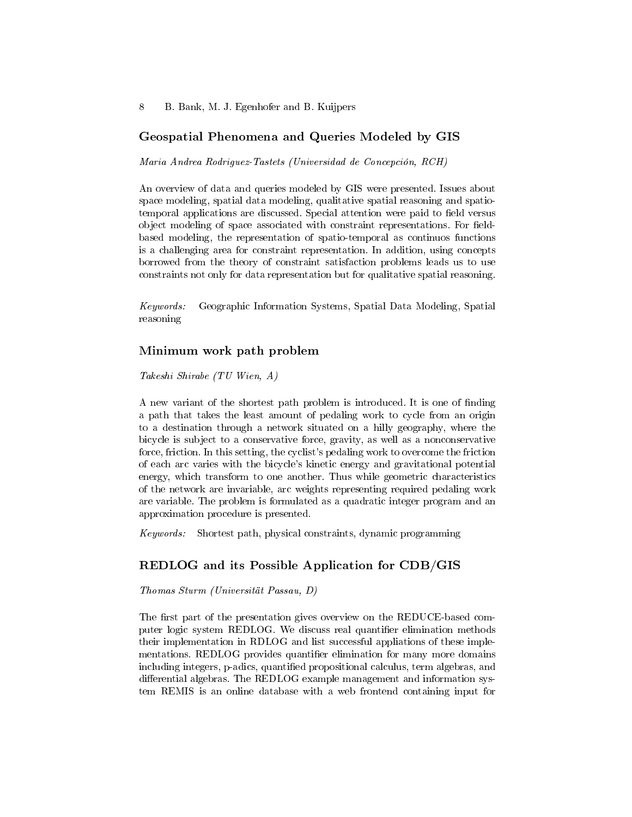### Geospatial Phenomena and Queries Modeled by GIS

Maria Andrea Rodriguez-Tastets (Universidad de Concepción, RCH)

An overview of data and queries modeled by GIS were presented. Issues about space modeling, spatial data modeling, qualitative spatial reasoning and spatiotemporal applications are discussed. Special attention were paid to field versus object modeling of space associated with constraint representations. For fieldbased modeling, the representation of spatio-temporal as continuos functions is a challenging area for constraint representation. In addition, using concepts borrowed from the theory of constraint satisfaction problems leads us to use constraints not only for data representation but for qualitative spatial reasoning.

Keywords: Geographic Information Systems, Spatial Data Modeling, Spatial reasoning

### Minimum work path problem

Takeshi Shirabe (TU Wien, A)

A new variant of the shortest path problem is introduced. It is one of finding a path that takes the least amount of pedaling work to cycle from an origin to a destination through a network situated on a hilly geography, where the bicycle is subject to a conservative force, gravity, as well as a nonconservative force, friction. In this setting, the cyclist's pedaling work to overcome the friction of each arc varies with the bicycle's kinetic energy and gravitational potential energy, which transform to one another. Thus while geometric characteristics of the network are invariable, arc weights representing required pedaling work are variable. The problem is formulated as a quadratic integer program and an approximation procedure is presented.

Keywords: Shortest path, physical constraints, dynamic programming

### REDLOG and its Possible Application for CDB/GIS

Thomas Sturm (Universität Passau, D)

The first part of the presentation gives overview on the REDUCE-based computer logic system REDLOG. We discuss real quantifier elimination methods their implementation in RDLOG and list successful appliations of these implementations. REDLOG provides quantifier elimination for many more domains including integers, p-adics, quantified propositional calculus, term algebras, and differential algebras. The REDLOG example management and information system REMIS is an online database with a web frontend containing input for